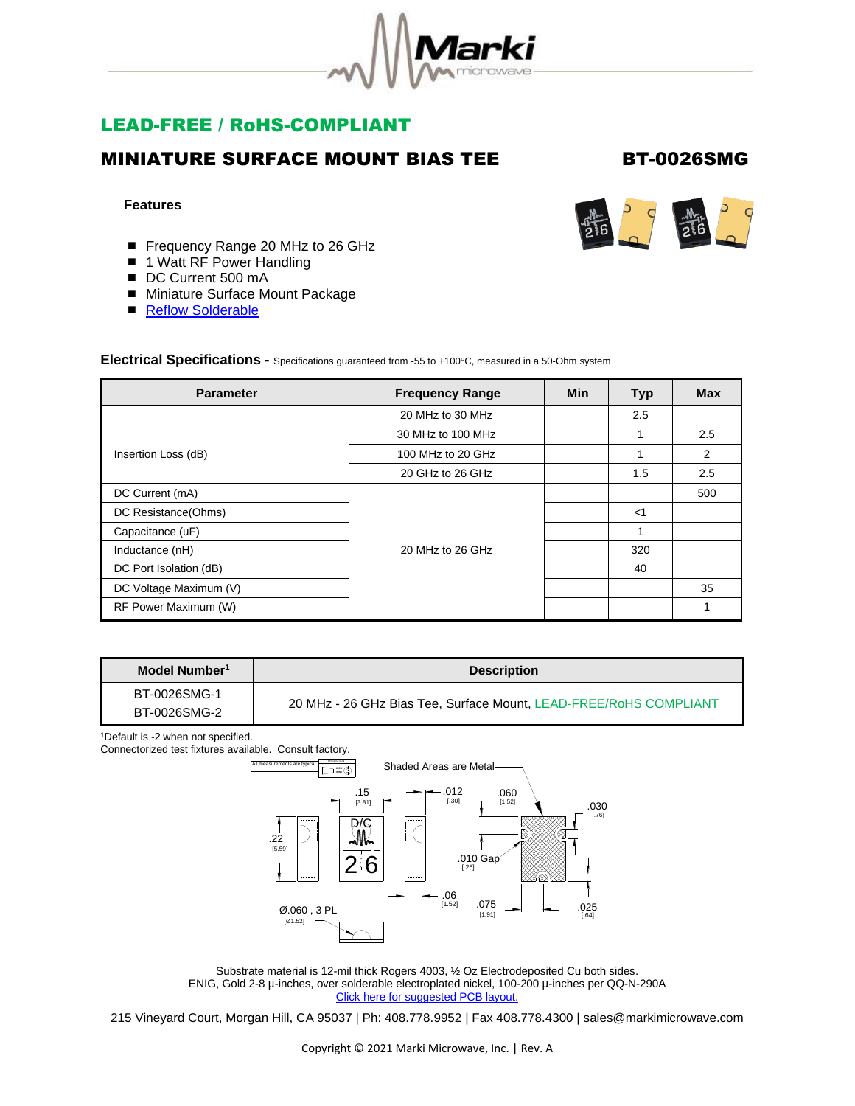

# LEAD-FREE / RoHS-COMPLIANT

## MINIATURE SURFACE MOUNT BIAS TEE BT-0026SMG

### **Features**

- Frequency Range 20 MHz to 26 GHz
- 1 Watt RF Power Handling
- DC Current 500 mA
- Miniature Surface Mount Package
- [Reflow Solderable](http://www.markimicrowave.com/menus/appnotes/REFLOW.pdf)

### **Electrical Specifications -** Specifications guaranteed from -55 to +100°C, measured in a 50-Ohm system

| <b>Parameter</b>       | <b>Frequency Range</b> | <b>Min</b> | <b>Typ</b> | <b>Max</b> |
|------------------------|------------------------|------------|------------|------------|
|                        | 20 MHz to 30 MHz       |            | 2.5        |            |
|                        | 30 MHz to 100 MHz      |            |            | 2.5        |
| Insertion Loss (dB)    | 100 MHz to 20 GHz      |            |            | 2          |
|                        | 20 GHz to 26 GHz       |            | 1.5        | 2.5        |
| DC Current (mA)        |                        |            |            | 500        |
| DC Resistance(Ohms)    |                        |            | $<$ 1      |            |
| Capacitance (uF)       |                        |            |            |            |
| Inductance (nH)        | 20 MHz to 26 GHz       |            | 320        |            |
| DC Port Isolation (dB) |                        |            | 40         |            |
| DC Voltage Maximum (V) |                        |            |            | 35         |
| RF Power Maximum (W)   |                        |            |            |            |

| Model Number <sup>1</sup>    | <b>Description</b>                                                |  |
|------------------------------|-------------------------------------------------------------------|--|
| BT-0026SMG-1<br>BT-0026SMG-2 | 20 MHz - 26 GHz Bias Tee, Surface Mount, LEAD-FREE/RoHS COMPLIANT |  |

<sup>1</sup>Default is -2 when not specified.

Connectorized test fixtures available. Consult factory.



Substrate material is 12-mil thick Rogers 4003, ½ Oz Electrodeposited Cu both sides. ENIG, Gold 2-8 µ-inches, over solderable electroplated nickel, 100-200 µ-inches per QQ-N-290A [Click here for suggested PCB layout.](https://www.markimicrowave.com/Assets/data/BTSM_PCB_FOOTPRINT)

215 Vineyard Court, Morgan Hill, CA 95037 | Ph: 408.778.9952 | Fax 408.778.4300 | sales@markimicrowave.com

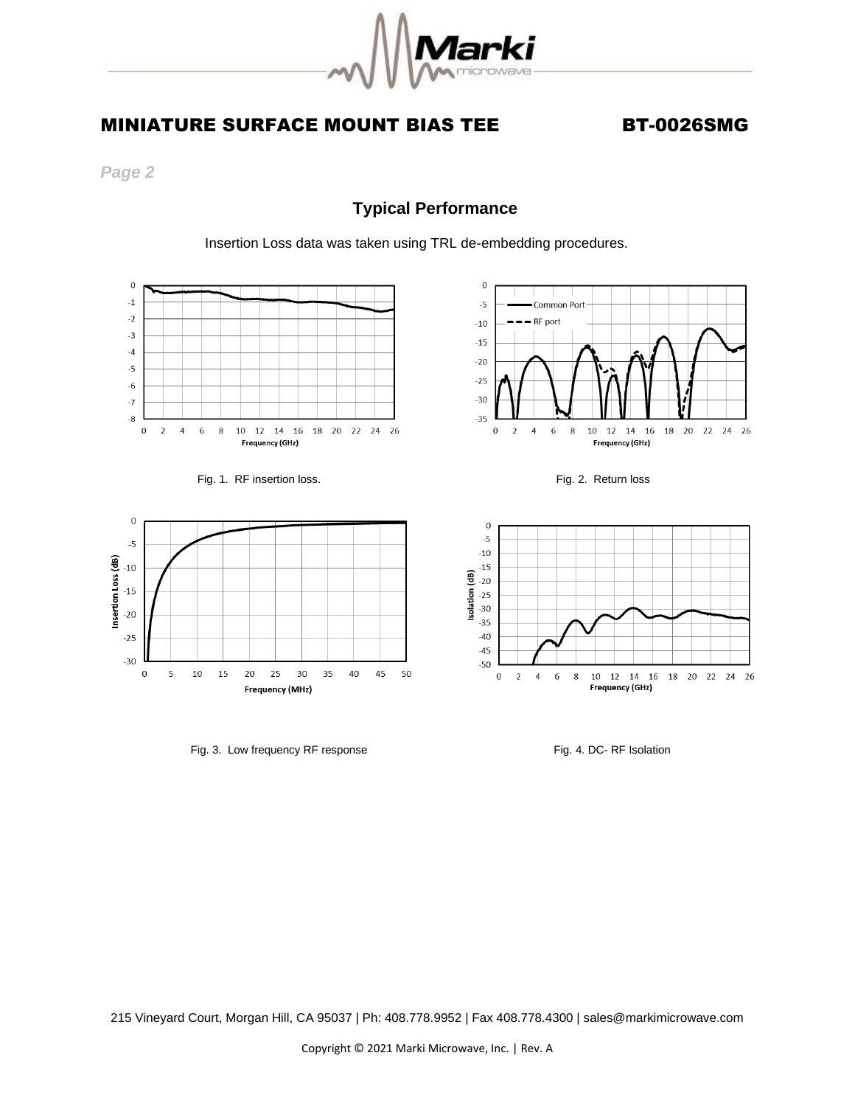

# MINIATURE SURFACE MOUNT BIAS TEE BT-0026SMG

*Page 2* 

## **Typical Performance**

Insertion Loss data was taken using TRL de-embedding procedures.







Fig. 3. Low frequency RF response Fig. 3. Low frequency RF response



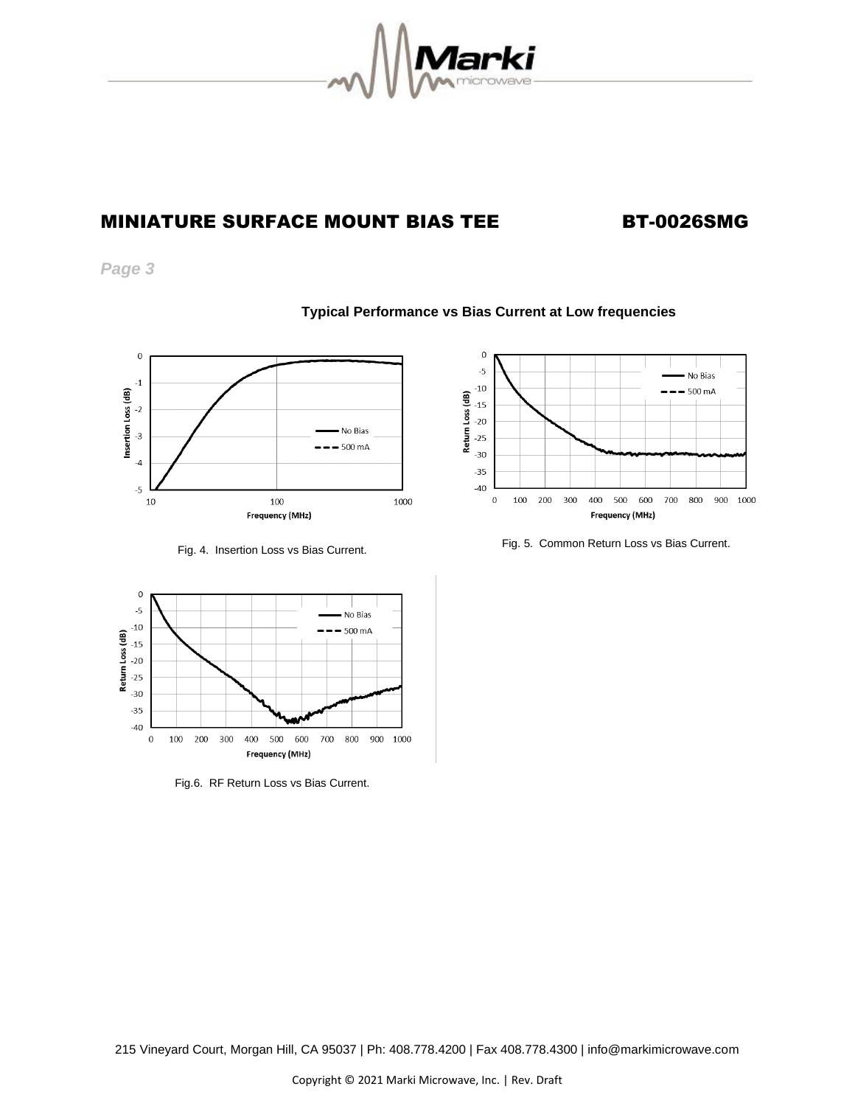

# MINIATURE SURFACE MOUNT BIAS TEE BT-0026SMG

*Page 3*







Fig.6. RF Return Loss vs Bias Current.



Fig. 4. Insertion Loss vs Bias Current. Fig. 5. Common Return Loss vs Bias Current.